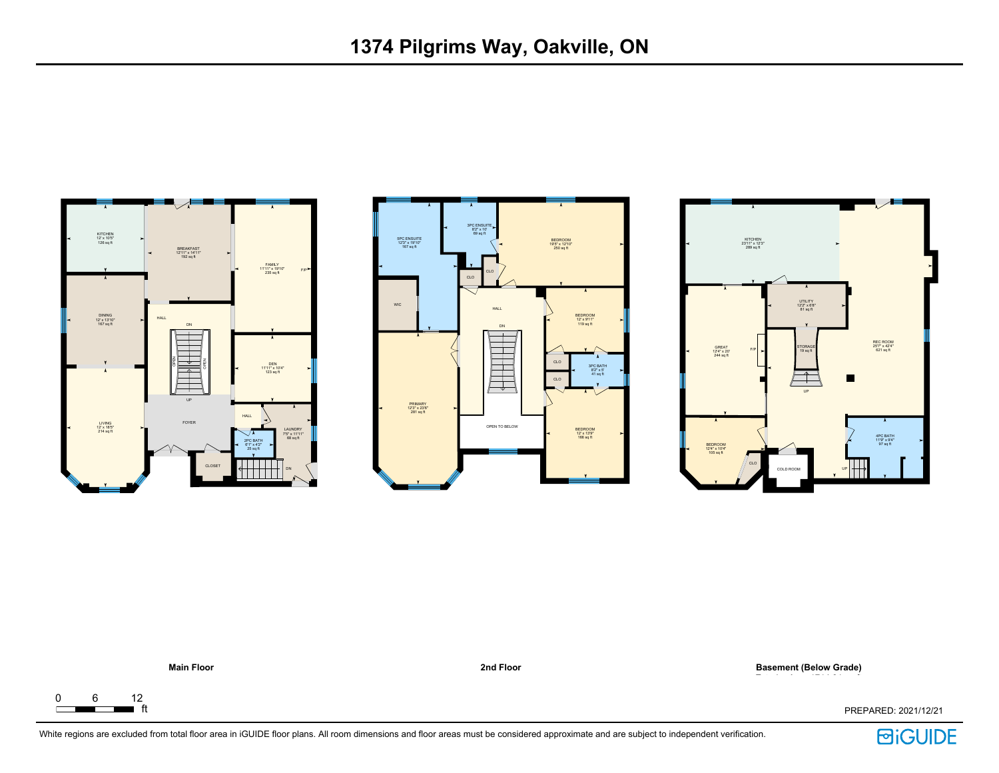







ft PREPARED: 2021/12/21

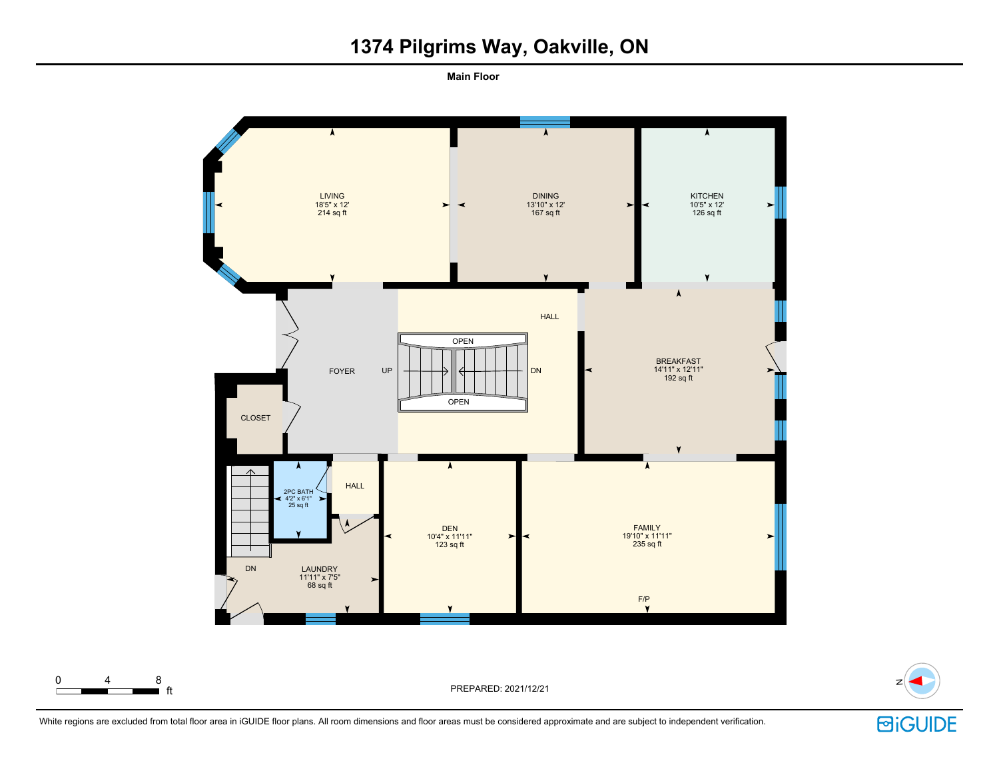## **1374 Pilgrims Way, Oakville, ON**

**Main Floor** 



0 4 8

ft PREPARED: 2021/12/21 <sup>N</sup>



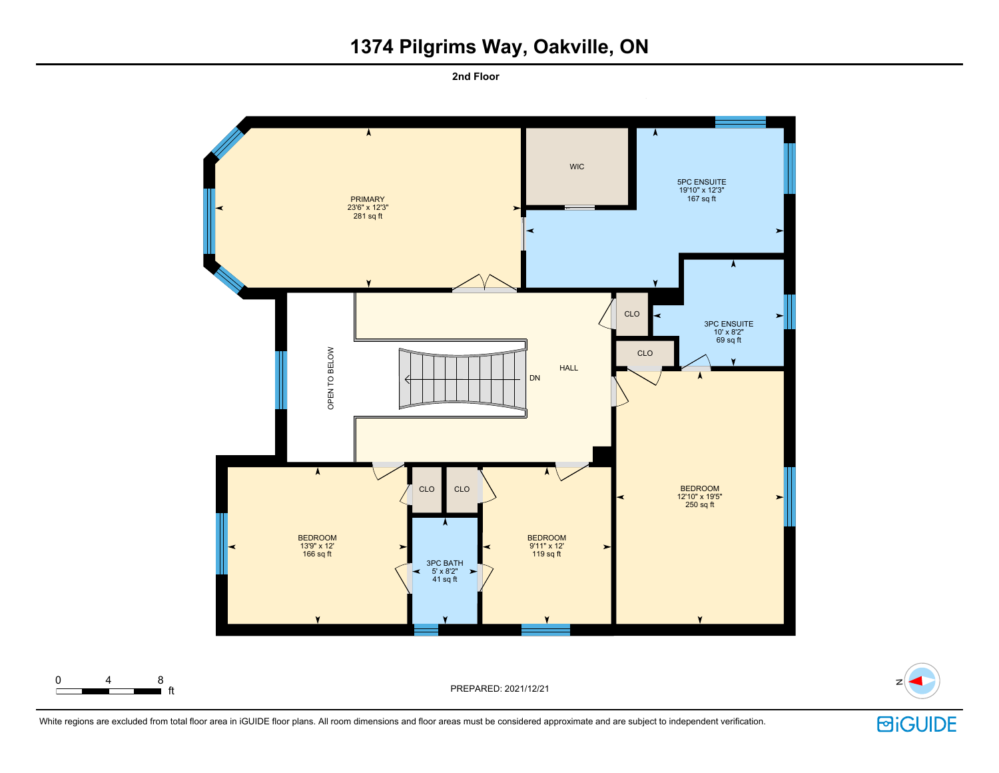## **1374 Pilgrims Way, Oakville, ON**

**2nd Floor** 







**回iGUIDE**